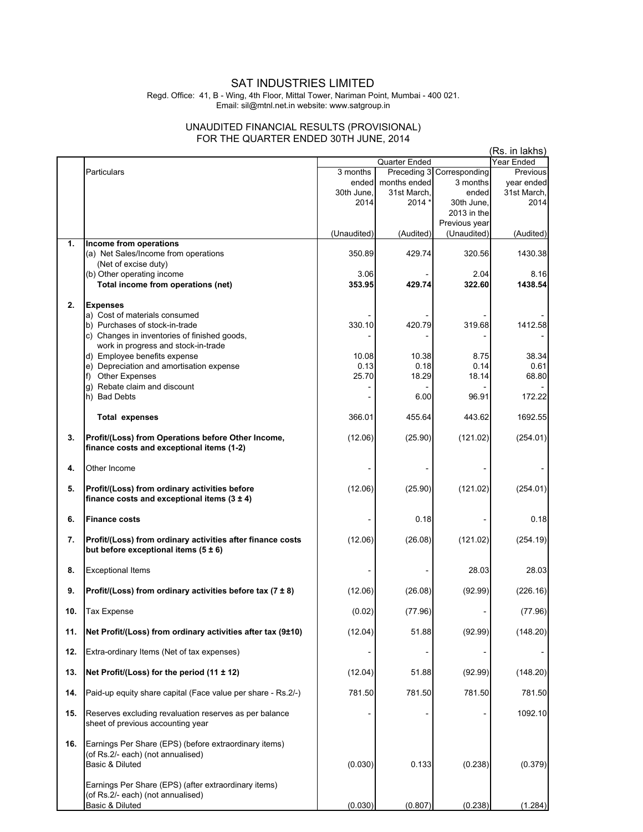## SAT INDUSTRIES LIMITED

Regd. Office: 41, B - Wing, 4th Floor, Mittal Tower, Nariman Point, Mumbai - 400 021. Email: sil@mtnl.net.in website: www.satgroup.in

## UNAUDITED FINANCIAL RESULTS (PROVISIONAL) FOR THE QUARTER ENDED 30TH JUNE, 2014

|     |                                                               |             |               | (Rs. in lakhs)            |             |
|-----|---------------------------------------------------------------|-------------|---------------|---------------------------|-------------|
|     |                                                               |             | Quarter Ended |                           | Year Ended  |
|     | Particulars                                                   | 3 months    |               | Preceding 3 Corresponding | Previous    |
|     |                                                               | ended       | months ended  | 3 months                  | year ended  |
|     |                                                               | 30th June,  | 31st March,   | ended                     | 31st March, |
|     |                                                               | 2014        | 2014 *        | 30th June,                | 2014        |
|     |                                                               |             |               | 2013 in the               |             |
|     |                                                               |             |               | Previous year             |             |
|     |                                                               | (Unaudited) | (Audited)     | (Unaudited)               | (Audited)   |
| 1.  | Income from operations                                        |             |               |                           |             |
|     | (a) Net Sales/Income from operations                          | 350.89      | 429.74        | 320.56                    | 1430.38     |
|     | (Net of excise duty)                                          |             |               |                           |             |
|     | (b) Other operating income                                    | 3.06        |               | 2.04                      | 8.16        |
|     | Total income from operations (net)                            | 353.95      | 429.74        | 322.60                    | 1438.54     |
|     |                                                               |             |               |                           |             |
| 2.  | <b>Expenses</b>                                               |             |               |                           |             |
|     | a) Cost of materials consumed                                 |             |               |                           |             |
|     | b) Purchases of stock-in-trade                                | 330.10      | 420.79        | 319.68                    | 1412.58     |
|     | c) Changes in inventories of finished goods,                  |             |               |                           |             |
|     | work in progress and stock-in-trade                           |             |               |                           |             |
|     | d) Employee benefits expense                                  | 10.08       | 10.38         | 8.75                      | 38.34       |
|     | e) Depreciation and amortisation expense                      | 0.13        | 0.18          | 0.14                      | 0.61        |
|     | f) Other Expenses                                             | 25.70       | 18.29         | 18.14                     | 68.80       |
|     | g) Rebate claim and discount                                  |             |               |                           |             |
|     | h) Bad Debts                                                  |             | 6.00          | 96.91                     | 172.22      |
|     |                                                               |             |               |                           |             |
|     | <b>Total expenses</b>                                         | 366.01      | 455.64        | 443.62                    | 1692.55     |
|     |                                                               |             |               |                           |             |
| 3.  | Profit/(Loss) from Operations before Other Income,            | (12.06)     | (25.90)       | (121.02)                  | (254.01)    |
|     | finance costs and exceptional items (1-2)                     |             |               |                           |             |
|     |                                                               |             |               |                           |             |
| 4.  | Other Income                                                  |             |               |                           |             |
|     |                                                               |             |               |                           |             |
| 5.  | Profit/(Loss) from ordinary activities before                 | (12.06)     | (25.90)       | (121.02)                  | (254.01)    |
|     | finance costs and exceptional items $(3 \pm 4)$               |             |               |                           |             |
|     |                                                               |             |               |                           |             |
| 6.  | <b>Finance costs</b>                                          |             | 0.18          |                           | 0.18        |
|     |                                                               |             |               |                           |             |
| 7.  | Profit/(Loss) from ordinary activities after finance costs    | (12.06)     | (26.08)       | (121.02)                  | (254.19)    |
|     | but before exceptional items $(5 \pm 6)$                      |             |               |                           |             |
|     |                                                               |             |               |                           |             |
| 8.  | <b>Exceptional Items</b>                                      |             |               | 28.03                     | 28.03       |
|     |                                                               |             |               |                           |             |
| 9.  | Profit/(Loss) from ordinary activities before tax $(7 \pm 8)$ | (12.06)     | (26.08)       | (92.99)                   | (226.16)    |
|     |                                                               |             |               |                           |             |
|     |                                                               |             |               |                           |             |
| 10. | <b>Tax Expense</b>                                            | (0.02)      | (77.96)       |                           | (77.96)     |
|     |                                                               |             |               |                           |             |
| 11. | Net Profit/(Loss) from ordinary activities after tax (9±10)   | (12.04)     | 51.88         | (92.99)                   | (148.20)    |
|     |                                                               |             |               |                           |             |
| 12. | Extra-ordinary Items (Net of tax expenses)                    |             |               |                           |             |
|     |                                                               |             |               |                           |             |
| 13. | Net Profit/(Loss) for the period $(11 \pm 12)$                | (12.04)     | 51.88         | (92.99)                   | (148.20)    |
|     |                                                               |             |               |                           |             |
| 14. | Paid-up equity share capital (Face value per share - Rs.2/-)  | 781.50      | 781.50        | 781.50                    | 781.50      |
|     |                                                               |             |               |                           |             |
| 15. | Reserves excluding revaluation reserves as per balance        |             |               |                           | 1092.10     |
|     | sheet of previous accounting year                             |             |               |                           |             |
|     |                                                               |             |               |                           |             |
| 16. | Earnings Per Share (EPS) (before extraordinary items)         |             |               |                           |             |
|     | (of Rs.2/- each) (not annualised)                             |             |               |                           |             |
|     | Basic & Diluted                                               | (0.030)     | 0.133         | (0.238)                   | (0.379)     |
|     |                                                               |             |               |                           |             |
|     | Earnings Per Share (EPS) (after extraordinary items)          |             |               |                           |             |
|     | (of Rs.2/- each) (not annualised)                             |             |               |                           |             |
|     | Basic & Diluted                                               | (0.030)     | (0.807)       | (0.238)                   | (1.284)     |